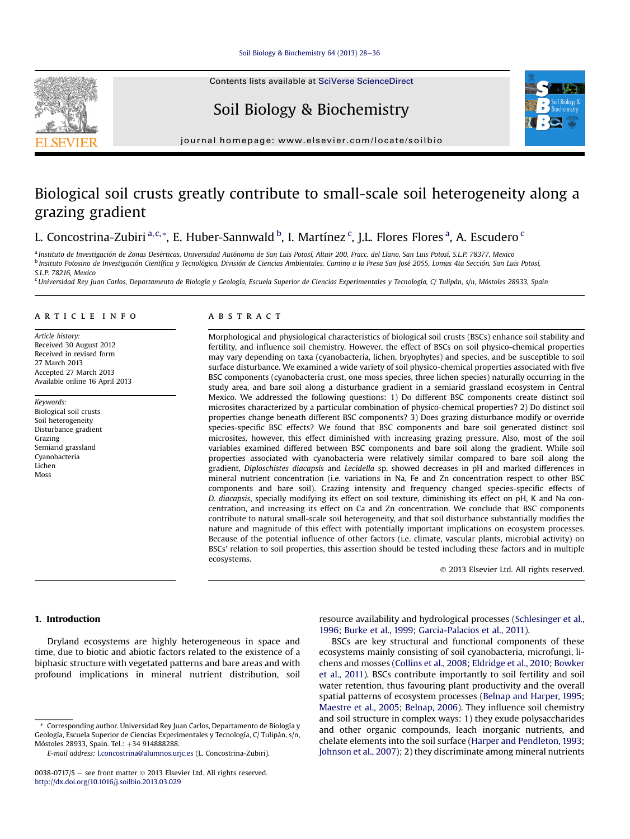Contents lists available at SciVerse ScienceDirect

# Soil Biology & Biochemistry



journal homepage: [www.elsevier.com/locate/soilbio](http://www.elsevier.com/locate/soilbio)

## Biological soil crusts greatly contribute to small-scale soil heterogeneity along a grazing gradient

L. Concostrina-Zubiri <sup>a, c,</sup> \*, E. Huber-Sannwald <sup>b</sup>, I. Martínez <sup>c</sup>, J.L. Flores Flores <sup>a</sup>, A. Escudero <sup>c</sup>

a Instituto de Investigación de Zonas Desérticas, Universidad Autónoma de San Luis Potosí, Altair 200, Fracc. del Llano, San Luis Potosí, S.L.P. 78377, Mexico <sup>b</sup> Insituto Potosino de Investigación Científica y Tecnológica, División de Ciencias Ambientales, Camino a la Presa San José 2055, Lomas 4ta Sección, San Luis Potosí, S.L.P. 78216, Mexico

<sup>c</sup> Universidad Rey Juan Carlos, Departamento de Biología y Geología, Escuela Superior de Ciencias Experimentales y Tecnología, C/ Tulipán, s/n, Móstoles 28933, Spain

## article info

Article history: Received 30 August 2012 Received in revised form 27 March 2013 Accepted 27 March 2013 Available online 16 April 2013

Keywords: Biological soil crusts Soil heterogeneity Disturbance gradient Grazing Semiarid grassland Cyanobacteria Lichen Moss

## ABSTRACT

Morphological and physiological characteristics of biological soil crusts (BSCs) enhance soil stability and fertility, and influence soil chemistry. However, the effect of BSCs on soil physico-chemical properties may vary depending on taxa (cyanobacteria, lichen, bryophytes) and species, and be susceptible to soil surface disturbance. We examined a wide variety of soil physico-chemical properties associated with five BSC components (cyanobacteria crust, one moss species, three lichen species) naturally occurring in the study area, and bare soil along a disturbance gradient in a semiarid grassland ecosystem in Central Mexico. We addressed the following questions: 1) Do different BSC components create distinct soil microsites characterized by a particular combination of physico-chemical properties? 2) Do distinct soil properties change beneath different BSC components? 3) Does grazing disturbance modify or override species-specific BSC effects? We found that BSC components and bare soil generated distinct soil microsites, however, this effect diminished with increasing grazing pressure. Also, most of the soil variables examined differed between BSC components and bare soil along the gradient. While soil properties associated with cyanobacteria were relatively similar compared to bare soil along the gradient, Diploschistes diacapsis and Lecidella sp. showed decreases in pH and marked differences in mineral nutrient concentration (i.e. variations in Na, Fe and Zn concentration respect to other BSC components and bare soil). Grazing intensity and frequency changed species-specific effects of D. diacapsis, specially modifying its effect on soil texture, diminishing its effect on pH, K and Na concentration, and increasing its effect on Ca and Zn concentration. We conclude that BSC components contribute to natural small-scale soil heterogeneity, and that soil disturbance substantially modifies the nature and magnitude of this effect with potentially important implications on ecosystem processes. Because of the potential influence of other factors (i.e. climate, vascular plants, microbial activity) on BSCs' relation to soil properties, this assertion should be tested including these factors and in multiple ecosystems.

2013 Elsevier Ltd. All rights reserved.

## 1. Introduction

Dryland ecosystems are highly heterogeneous in space and time, due to biotic and abiotic factors related to the existence of a biphasic structure with vegetated patterns and bare areas and with profound implications in mineral nutrient distribution, soil resource availability and hydrological processes [\(Schlesinger et al.,](#page-8-0) [1996](#page-8-0); [Burke et al., 1999;](#page-8-0) [Garcia-Palacios et al., 2011](#page-8-0)).

BSCs are key structural and functional components of these ecosystems mainly consisting of soil cyanobacteria, microfungi, lichens and mosses ([Collins et al., 2008;](#page-8-0) [Eldridge et al., 2010](#page-8-0); [Bowker](#page-8-0) [et al., 2011\)](#page-8-0). BSCs contribute importantly to soil fertility and soil water retention, thus favouring plant productivity and the overall spatial patterns of ecosystem processes ([Belnap and Harper, 1995](#page-8-0); [Maestre et al., 2005;](#page-8-0) [Belnap, 2006\)](#page-7-0). They influence soil chemistry and soil structure in complex ways: 1) they exude polysaccharides and other organic compounds, leach inorganic nutrients, and chelate elements into the soil surface ([Harper and Pendleton, 1993](#page-8-0); [Johnson et al., 2007\)](#page-8-0); 2) they discriminate among mineral nutrients



<sup>\*</sup> Corresponding author. Universidad Rey Juan Carlos, Departamento de Biología y Geología, Escuela Superior de Ciencias Experimentales y Tecnología, C/ Tulipán, s/n, Móstoles 28933, Spain. Tel.: +34 914888288.

E-mail address: [l.concostrina@alumnos.urjc.es](mailto:l.concostrina@alumnos.urjc.es) (L. Concostrina-Zubiri).

<sup>0038-0717/\$ -</sup> see front matter  $\odot$  2013 Elsevier Ltd. All rights reserved. <http://dx.doi.org/10.1016/j.soilbio.2013.03.029>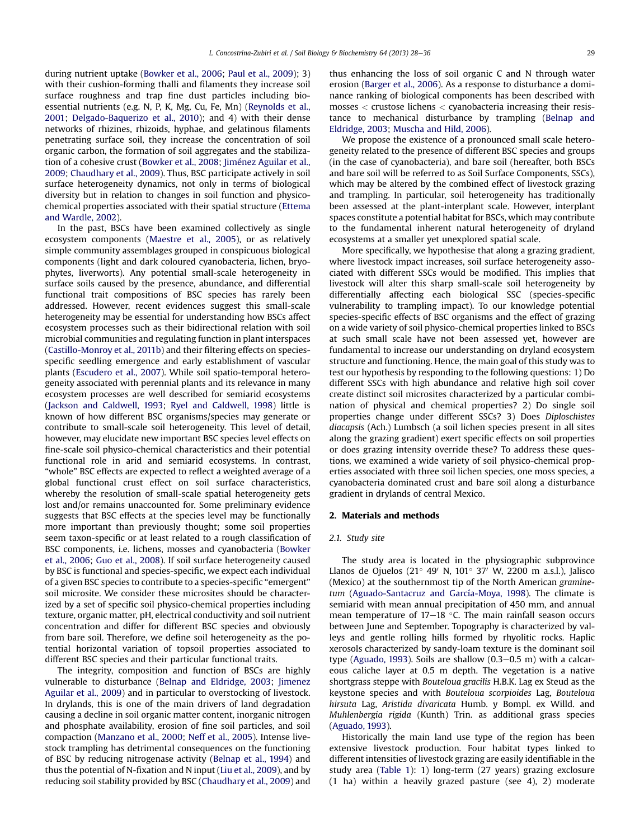during nutrient uptake ([Bowker et al., 2006](#page-8-0); [Paul et al., 2009](#page-8-0)); 3) with their cushion-forming thalli and filaments they increase soil surface roughness and trap fine dust particles including bioessential nutrients (e.g. N, P, K, Mg, Cu, Fe, Mn) ([Reynolds et al.,](#page-8-0) [2001;](#page-8-0) [Delgado-Baquerizo et al., 2010](#page-8-0)); and 4) with their dense networks of rhizines, rhizoids, hyphae, and gelatinous filaments penetrating surface soil, they increase the concentration of soil organic carbon, the formation of soil aggregates and the stabilization of a cohesive crust ([Bowker et al., 2008;](#page-8-0) [Jiménez Aguilar et al.,](#page-8-0) [2009;](#page-8-0) [Chaudhary et al., 2009](#page-8-0)). Thus, BSC participate actively in soil surface heterogeneity dynamics, not only in terms of biological diversity but in relation to changes in soil function and physicochemical properties associated with their spatial structure ([Ettema](#page-8-0) [and Wardle, 2002](#page-8-0)).

In the past, BSCs have been examined collectively as single ecosystem components [\(Maestre et al., 2005](#page-8-0)), or as relatively simple community assemblages grouped in conspicuous biological components (light and dark coloured cyanobacteria, lichen, bryophytes, liverworts). Any potential small-scale heterogeneity in surface soils caused by the presence, abundance, and differential functional trait compositions of BSC species has rarely been addressed. However, recent evidences suggest this small-scale heterogeneity may be essential for understanding how BSCs affect ecosystem processes such as their bidirectional relation with soil microbial communities and regulating function in plant interspaces ([Castillo-Monroy et al., 2011b](#page-8-0)) and their filtering effects on speciesspecific seedling emergence and early establishment of vascular plants ([Escudero et al., 2007](#page-8-0)). While soil spatio-temporal heterogeneity associated with perennial plants and its relevance in many ecosystem processes are well described for semiarid ecosystems ([Jackson and Caldwell, 1993](#page-8-0); [Ryel and Caldwell, 1998\)](#page-8-0) little is known of how different BSC organisms/species may generate or contribute to small-scale soil heterogeneity. This level of detail, however, may elucidate new important BSC species level effects on fine-scale soil physico-chemical characteristics and their potential functional role in arid and semiarid ecosystems. In contrast, "whole" BSC effects are expected to reflect a weighted average of a global functional crust effect on soil surface characteristics, whereby the resolution of small-scale spatial heterogeneity gets lost and/or remains unaccounted for. Some preliminary evidence suggests that BSC effects at the species level may be functionally more important than previously thought; some soil properties seem taxon-specific or at least related to a rough classification of BSC components, i.e. lichens, mosses and cyanobacteria ([Bowker](#page-8-0) [et al., 2006](#page-8-0); [Guo et al., 2008](#page-8-0)). If soil surface heterogeneity caused by BSC is functional and species-specific, we expect each individual of a given BSC species to contribute to a species-specific "emergent" soil microsite. We consider these microsites should be characterized by a set of specific soil physico-chemical properties including texture, organic matter, pH, electrical conductivity and soil nutrient concentration and differ for different BSC species and obviously from bare soil. Therefore, we define soil heterogeneity as the potential horizontal variation of topsoil properties associated to different BSC species and their particular functional traits.

The integrity, composition and function of BSCs are highly vulnerable to disturbance ([Belnap and Eldridge, 2003](#page-8-0); [Jimenez](#page-8-0) [Aguilar et al., 2009](#page-8-0)) and in particular to overstocking of livestock. In drylands, this is one of the main drivers of land degradation causing a decline in soil organic matter content, inorganic nitrogen and phosphate availability, erosion of fine soil particles, and soil compaction [\(Manzano et al., 2000;](#page-8-0) [Neff et al., 2005\)](#page-8-0). Intense livestock trampling has detrimental consequences on the functioning of BSC by reducing nitrogenase activity ([Belnap et al., 1994](#page-8-0)) and thus the potential of N-fixation and N input [\(Liu et al., 2009\)](#page-8-0), and by reducing soil stability provided by BSC ([Chaudhary et al., 2009\)](#page-8-0) and thus enhancing the loss of soil organic C and N through water erosion ([Barger et al., 2006](#page-7-0)). As a response to disturbance a dominance ranking of biological components has been described with mosses < crustose lichens < cyanobacteria increasing their resistance to mechanical disturbance by trampling [\(Belnap and](#page-8-0) [Eldridge, 2003;](#page-8-0) [Muscha and Hild, 2006\)](#page-8-0).

We propose the existence of a pronounced small scale heterogeneity related to the presence of different BSC species and groups (in the case of cyanobacteria), and bare soil (hereafter, both BSCs and bare soil will be referred to as Soil Surface Components, SSCs), which may be altered by the combined effect of livestock grazing and trampling. In particular, soil heterogeneity has traditionally been assessed at the plant-interplant scale. However, interplant spaces constitute a potential habitat for BSCs, which may contribute to the fundamental inherent natural heterogeneity of dryland ecosystems at a smaller yet unexplored spatial scale.

More specifically, we hypothesise that along a grazing gradient, where livestock impact increases, soil surface heterogeneity associated with different SSCs would be modified. This implies that livestock will alter this sharp small-scale soil heterogeneity by differentially affecting each biological SSC (species-specific vulnerability to trampling impact). To our knowledge potential species-specific effects of BSC organisms and the effect of grazing on a wide variety of soil physico-chemical properties linked to BSCs at such small scale have not been assessed yet, however are fundamental to increase our understanding on dryland ecosystem structure and functioning. Hence, the main goal of this study was to test our hypothesis by responding to the following questions: 1) Do different SSCs with high abundance and relative high soil cover create distinct soil microsites characterized by a particular combination of physical and chemical properties? 2) Do single soil properties change under different SSCs? 3) Does Diploschistes diacapsis (Ach.) Lumbsch (a soil lichen species present in all sites along the grazing gradient) exert specific effects on soil properties or does grazing intensity override these? To address these questions, we examined a wide variety of soil physico-chemical properties associated with three soil lichen species, one moss species, a cyanobacteria dominated crust and bare soil along a disturbance gradient in drylands of central Mexico.

#### 2. Materials and methods

#### 2.1. Study site

The study area is located in the physiographic subprovince Llanos de Ojuelos (21° 49' N, 101° 37' W, 2200 m a.s.l.), Jalisco (Mexico) at the southernmost tip of the North American graminetum [\(Aguado-Santacruz and García-Moya, 1998](#page-7-0)). The climate is semiarid with mean annual precipitation of 450 mm, and annual mean temperature of  $17-18$  °C. The main rainfall season occurs between June and September. Topography is characterized by valleys and gentle rolling hills formed by rhyolitic rocks. Haplic xerosols characterized by sandy-loam texture is the dominant soil type [\(Aguado, 1993\)](#page-7-0). Soils are shallow  $(0.3-0.5 \text{ m})$  with a calcareous caliche layer at 0.5 m depth. The vegetation is a native shortgrass steppe with Bouteloua gracilis H.B.K. Lag ex Steud as the keystone species and with Bouteloua scorpioides Lag, Bouteloua hirsuta Lag, Aristida divaricata Humb. y Bompl. ex Willd. and Muhlenbergia rigida (Kunth) Trin. as additional grass species ([Aguado, 1993](#page-7-0)).

Historically the main land use type of the region has been extensive livestock production. Four habitat types linked to different intensities of livestock grazing are easily identifiable in the study area [\(Table 1](#page-2-0)): 1) long-term (27 years) grazing exclosure (1 ha) within a heavily grazed pasture (see 4), 2) moderate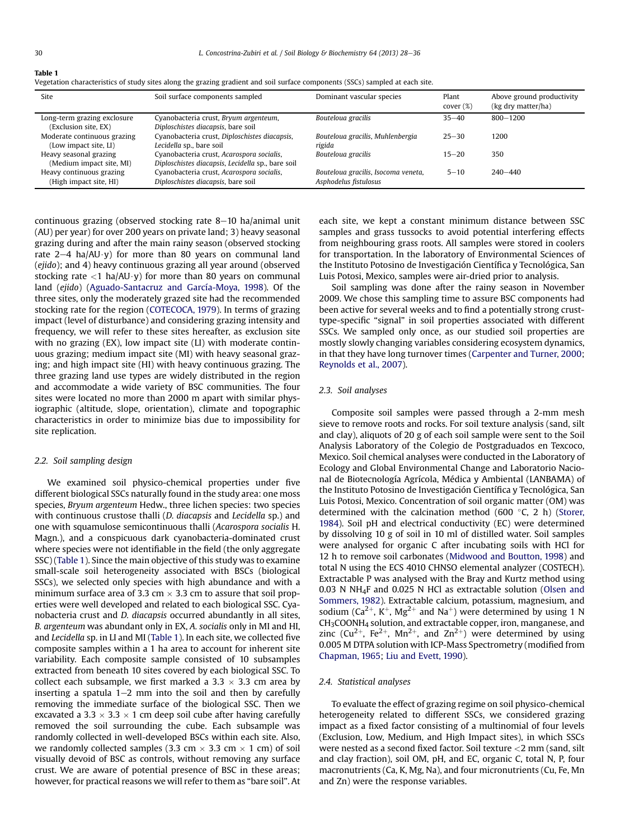<span id="page-2-0"></span>

| ٧ |  |
|---|--|
|   |  |

Vegetation characteristics of study sites along the grazing gradient and soil surface components (SSCs) sampled at each site.

| Site                                                 | Soil surface components sampled                                                                | Dominant vascular species                                    | Plant<br>cover (%) | Above ground productivity<br>(kg dry matter/ha) |
|------------------------------------------------------|------------------------------------------------------------------------------------------------|--------------------------------------------------------------|--------------------|-------------------------------------------------|
| Long-term grazing exclosure<br>(Exclusion site, EX)  | Cyanobacteria crust, Bryum argenteum,<br>Diploschistes diacapsis, bare soil                    | Bouteloua gracilis                                           | $35 - 40$          | $800 - 1200$                                    |
| Moderate continuous grazing<br>(Low impact site, LI) | Cyanobacteria crust, Diploschistes diacapsis,<br>Lecidella sp., bare soil                      | Bouteloua gracilis, Muhlenbergia<br>rigida                   | $25 - 30$          | 1200                                            |
| Heavy seasonal grazing<br>(Medium impact site, MI)   | Cyanobacteria crust, Acarospora socialis,<br>Diploschistes diacapsis, Lecidella sp., bare soil | Bouteloua gracilis                                           | $15 - 20$          | 350                                             |
| Heavy continuous grazing<br>(High impact site, HI)   | Cyanobacteria crust, Acarospora socialis,<br>Diploschistes diacapsis, bare soil                | Bouteloua gracilis, Isocoma veneta,<br>Asphodelus fistulosus | $5 - 10$           | $240 - 440$                                     |

continuous grazing (observed stocking rate  $8-10$  ha/animal unit (AU) per year) for over 200 years on private land; 3) heavy seasonal grazing during and after the main rainy season (observed stocking rate  $2-4$  ha/AU $\cdot$ y) for more than 80 years on communal land (ejido); and 4) heavy continuous grazing all year around (observed stocking rate  $\langle 1 \text{ ha}/\text{AU}\cdot \text{v} \rangle$  for more than 80 years on communal land (ejido) ([Aguado-Santacruz and García-Moya, 1998](#page-7-0)). Of the three sites, only the moderately grazed site had the recommended stocking rate for the region ([COTECOCA, 1979\)](#page-8-0). In terms of grazing impact (level of disturbance) and considering grazing intensity and frequency, we will refer to these sites hereafter, as exclusion site with no grazing (EX), low impact site (LI) with moderate continuous grazing; medium impact site (MI) with heavy seasonal grazing; and high impact site (HI) with heavy continuous grazing. The three grazing land use types are widely distributed in the region and accommodate a wide variety of BSC communities. The four sites were located no more than 2000 m apart with similar physiographic (altitude, slope, orientation), climate and topographic characteristics in order to minimize bias due to impossibility for site replication.

#### 2.2. Soil sampling design

We examined soil physico-chemical properties under five different biological SSCs naturally found in the study area: one moss species, Bryum argenteum Hedw., three lichen species: two species with continuous crustose thalli (D. diacapsis and Lecidella sp.) and one with squamulose semicontinuous thalli (Acarospora socialis H. Magn.), and a conspicuous dark cyanobacteria-dominated crust where species were not identifiable in the field (the only aggregate SSC) (Table 1). Since the main objective of this study was to examine small-scale soil heterogeneity associated with BSCs (biological SSCs), we selected only species with high abundance and with a minimum surface area of 3.3 cm  $\times$  3.3 cm to assure that soil properties were well developed and related to each biological SSC. Cyanobacteria crust and D. diacapsis occurred abundantly in all sites, B. argenteum was abundant only in EX, A. socialis only in MI and HI, and Lecidella sp. in LI and MI (Table 1). In each site, we collected five composite samples within a 1 ha area to account for inherent site variability. Each composite sample consisted of 10 subsamples extracted from beneath 10 sites covered by each biological SSC. To collect each subsample, we first marked a 3.3  $\times$  3.3 cm area by inserting a spatula  $1-2$  mm into the soil and then by carefully removing the immediate surface of the biological SSC. Then we excavated a 3.3  $\times$  3.3  $\times$  1 cm deep soil cube after having carefully removed the soil surrounding the cube. Each subsample was randomly collected in well-developed BSCs within each site. Also, we randomly collected samples (3.3 cm  $\times$  3.3 cm  $\times$  1 cm) of soil visually devoid of BSC as controls, without removing any surface crust. We are aware of potential presence of BSC in these areas; however, for practical reasons we will refer to them as "bare soil". At each site, we kept a constant minimum distance between SSC samples and grass tussocks to avoid potential interfering effects from neighbouring grass roots. All samples were stored in coolers for transportation. In the laboratory of Environmental Sciences of the Instituto Potosino de Investigación Científica y Tecnológica, San Luis Potosi, Mexico, samples were air-dried prior to analysis.

Soil sampling was done after the rainy season in November 2009. We chose this sampling time to assure BSC components had been active for several weeks and to find a potentially strong crusttype-specific "signal" in soil properties associated with different SSCs. We sampled only once, as our studied soil properties are mostly slowly changing variables considering ecosystem dynamics, in that they have long turnover times [\(Carpenter and Turner, 2000](#page-8-0); [Reynolds et al., 2007](#page-8-0)).

## 2.3. Soil analyses

Composite soil samples were passed through a 2-mm mesh sieve to remove roots and rocks. For soil texture analysis (sand, silt and clay), aliquots of 20 g of each soil sample were sent to the Soil Analysis Laboratory of the Colegio de Postgraduados en Texcoco, Mexico. Soil chemical analyses were conducted in the Laboratory of Ecology and Global Environmental Change and Laboratorio Nacional de Biotecnología Agrícola, Médica y Ambiental (LANBAMA) of the Instituto Potosino de Investigación Científica y Tecnológica, San Luis Potosi, Mexico. Concentration of soil organic matter (OM) was determined with the calcination method (600  $\degree$ C, 2 h) ([Storer,](#page-8-0) [1984](#page-8-0)). Soil pH and electrical conductivity (EC) were determined by dissolving 10 g of soil in 10 ml of distilled water. Soil samples were analysed for organic C after incubating soils with HCl for 12 h to remove soil carbonates ([Midwood and Boutton, 1998](#page-8-0)) and total N using the ECS 4010 CHNSO elemental analyzer (COSTECH). Extractable P was analysed with the Bray and Kurtz method using 0.03 N NH4F and 0.025 N HCl as extractable solution [\(Olsen and](#page-8-0) [Sommers, 1982\)](#page-8-0). Extractable calcium, potassium, magnesium, and sodium (Ca<sup>2+</sup>, K<sup>+</sup>, Mg<sup>2+</sup> and Na<sup>+</sup>) were determined by using 1 N  $CH<sub>3</sub>COONH<sub>4</sub>$  solution, and extractable copper, iron, manganese, and zinc (Cu<sup>2+</sup>, Fe<sup>2+</sup>, Mn<sup>2+</sup>, and Zn<sup>2+</sup>) were determined by using 0.005 M DTPA solution with ICP-Mass Spectrometry (modified from [Chapman, 1965;](#page-8-0) [Liu and Evett, 1990](#page-8-0)).

## 2.4. Statistical analyses

To evaluate the effect of grazing regime on soil physico-chemical heterogeneity related to different SSCs, we considered grazing impact as a fixed factor consisting of a multinomial of four levels (Exclusion, Low, Medium, and High Impact sites), in which SSCs were nested as a second fixed factor. Soil texture <2 mm (sand, silt and clay fraction), soil OM, pH, and EC, organic C, total N, P, four macronutrients (Ca, K, Mg, Na), and four micronutrients (Cu, Fe, Mn and Zn) were the response variables.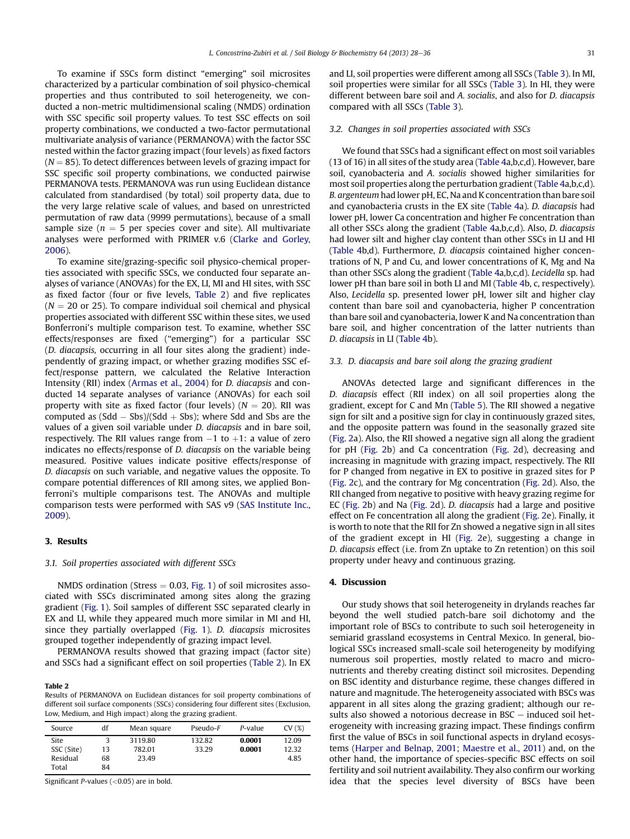To examine if SSCs form distinct "emerging" soil microsites characterized by a particular combination of soil physico-chemical properties and thus contributed to soil heterogeneity, we conducted a non-metric multidimensional scaling (NMDS) ordination with SSC specific soil property values. To test SSC effects on soil property combinations, we conducted a two-factor permutational multivariate analysis of variance (PERMANOVA) with the factor SSC nested within the factor grazing impact (four levels) as fixed factors  $(N = 85)$ . To detect differences between levels of grazing impact for SSC specific soil property combinations, we conducted pairwise PERMANOVA tests. PERMANOVA was run using Euclidean distance calculated from standardised (by total) soil property data, due to the very large relative scale of values, and based on unrestricted permutation of raw data (9999 permutations), because of a small sample size ( $n = 5$  per species cover and site). All multivariate analyses were performed with PRIMER v.6 ([Clarke and Gorley,](#page-8-0) [2006\)](#page-8-0).

To examine site/grazing-specific soil physico-chemical properties associated with specific SSCs, we conducted four separate analyses of variance (ANOVAs) for the EX, LI, MI and HI sites, with SSC as fixed factor (four or five levels, Table 2) and five replicates  $(N = 20$  or 25). To compare individual soil chemical and physical properties associated with different SSC within these sites, we used Bonferroni's multiple comparison test. To examine, whether SSC effects/responses are fixed ("emerging") for a particular SSC (D. diacapsis, occurring in all four sites along the gradient) independently of grazing impact, or whether grazing modifies SSC effect/response pattern, we calculated the Relative Interaction Intensity (RII) index [\(Armas et al., 2004](#page-7-0)) for D. diacapsis and conducted 14 separate analyses of variance (ANOVAs) for each soil property with site as fixed factor (four levels) ( $N = 20$ ). RII was computed as  $(Sdd - Sbs)/(Sdd + Sbs)$ ; where Sdd and Sbs are the values of a given soil variable under D. diacapsis and in bare soil, respectively. The RII values range from  $-1$  to  $+1$ : a value of zero indicates no effects/response of D. diacapsis on the variable being measured. Positive values indicate positive effects/response of D. diacapsis on such variable, and negative values the opposite. To compare potential differences of RII among sites, we applied Bonferroni's multiple comparisons test. The ANOVAs and multiple comparison tests were performed with SAS v9 [\(SAS Institute Inc.,](#page-8-0) [2009\)](#page-8-0).

### 3. Results

## 3.1. Soil properties associated with different SSCs

NMDS ordination (Stress  $= 0.03$ , [Fig. 1\)](#page-4-0) of soil microsites associated with SSCs discriminated among sites along the grazing gradient ([Fig. 1\)](#page-4-0). Soil samples of different SSC separated clearly in EX and LI, while they appeared much more similar in MI and HI, since they partially overlapped ([Fig. 1](#page-4-0)). D. diacapsis microsites grouped together independently of grazing impact level.

PERMANOVA results showed that grazing impact (factor site) and SSCs had a significant effect on soil properties (Table 2). In EX

#### Table 2

Results of PERMANOVA on Euclidean distances for soil property combinations of different soil surface components (SSCs) considering four different sites (Exclusion, Low, Medium, and High impact) along the grazing gradient.

| Source     | df | Mean square | Pseudo-F | P-value | CV(%) |
|------------|----|-------------|----------|---------|-------|
| Site       | 3  | 3119.80     | 132.82   | 0.0001  | 12.09 |
| SSC (Site) | 13 | 782.01      | 33.29    | 0.0001  | 12.32 |
| Residual   | 68 | 23.49       |          |         | 4.85  |
| Total      | 84 |             |          |         |       |

Significant P-values  $(<0.05$ ) are in bold.

and LI, soil properties were different among all SSCs [\(Table 3\)](#page-4-0). In MI, soil properties were similar for all SSCs [\(Table 3\)](#page-4-0). In HI, they were different between bare soil and A. socialis, and also for D. diacapsis compared with all SSCs ([Table 3](#page-4-0)).

## 3.2. Changes in soil properties associated with SSCs

We found that SSCs had a significant effect on most soil variables (13 of 16) in all sites of the study area ([Table 4a](#page-5-0),b,c,d). However, bare soil, cyanobacteria and A. socialis showed higher similarities for most soil properties along the perturbation gradient [\(Table 4](#page-5-0)a,b,c,d). B. argenteum had lower pH, EC, Na and K concentration than bare soil and cyanobacteria crusts in the EX site [\(Table 4](#page-5-0)a). D. diacapsis had lower pH, lower Ca concentration and higher Fe concentration than all other SSCs along the gradient ([Table 4](#page-5-0)a,b,c,d). Also, D. diacapsis had lower silt and higher clay content than other SSCs in LI and HI ([Table 4](#page-5-0)b,d). Furthermore, D. diacapsis cointained higher concentrations of N, P and Cu, and lower concentrations of K, Mg and Na than other SSCs along the gradient ([Table 4](#page-5-0)a,b,c,d). Lecidella sp. had lower pH than bare soil in both LI and MI ([Table 4](#page-5-0)b, c, respectively). Also, Lecidella sp. presented lower pH, lower silt and higher clay content than bare soil and cyanobacteria, higher P concentration than bare soil and cyanobacteria, lower K and Na concentration than bare soil, and higher concentration of the latter nutrients than D. diacapsis in LI ([Table 4](#page-5-0)b).

## 3.3. D. diacapsis and bare soil along the grazing gradient

ANOVAs detected large and significant differences in the D. diacapsis effect (RII index) on all soil properties along the gradient, except for C and Mn [\(Table 5](#page-6-0)). The RII showed a negative sign for silt and a positive sign for clay in continuously grazed sites, and the opposite pattern was found in the seasonally grazed site ([Fig. 2](#page-7-0)a). Also, the RII showed a negative sign all along the gradient for pH [\(Fig. 2b](#page-7-0)) and Ca concentration [\(Fig. 2](#page-7-0)d), decreasing and increasing in magnitude with grazing impact, respectively. The RII for P changed from negative in EX to positive in grazed sites for P ([Fig. 2c](#page-7-0)), and the contrary for Mg concentration [\(Fig. 2](#page-7-0)d). Also, the RII changed from negative to positive with heavy grazing regime for EC ([Fig. 2](#page-7-0)b) and Na [\(Fig. 2d](#page-7-0)). D. diacapsis had a large and positive effect on Fe concentration all along the gradient [\(Fig. 2e](#page-7-0)). Finally, it is worth to note that the RII for Zn showed a negative sign in all sites of the gradient except in HI ([Fig. 2](#page-7-0)e), suggesting a change in D. diacapsis effect (i.e. from Zn uptake to Zn retention) on this soil property under heavy and continuous grazing.

## 4. Discussion

Our study shows that soil heterogeneity in drylands reaches far beyond the well studied patch-bare soil dichotomy and the important role of BSCs to contribute to such soil heterogeneity in semiarid grassland ecosystems in Central Mexico. In general, biological SSCs increased small-scale soil heterogeneity by modifying numerous soil properties, mostly related to macro and micronutrients and thereby creating distinct soil microsites. Depending on BSC identity and disturbance regime, these changes differed in nature and magnitude. The heterogeneity associated with BSCs was apparent in all sites along the grazing gradient; although our results also showed a notorious decrease in  $BSC -$  induced soil heterogeneity with increasing grazing impact. These findings confirm first the value of BSCs in soil functional aspects in dryland ecosystems ([Harper and Belnap, 2001;](#page-8-0) [Maestre et al., 2011\)](#page-8-0) and, on the other hand, the importance of species-specific BSC effects on soil fertility and soil nutrient availability. They also confirm our working idea that the species level diversity of BSCs have been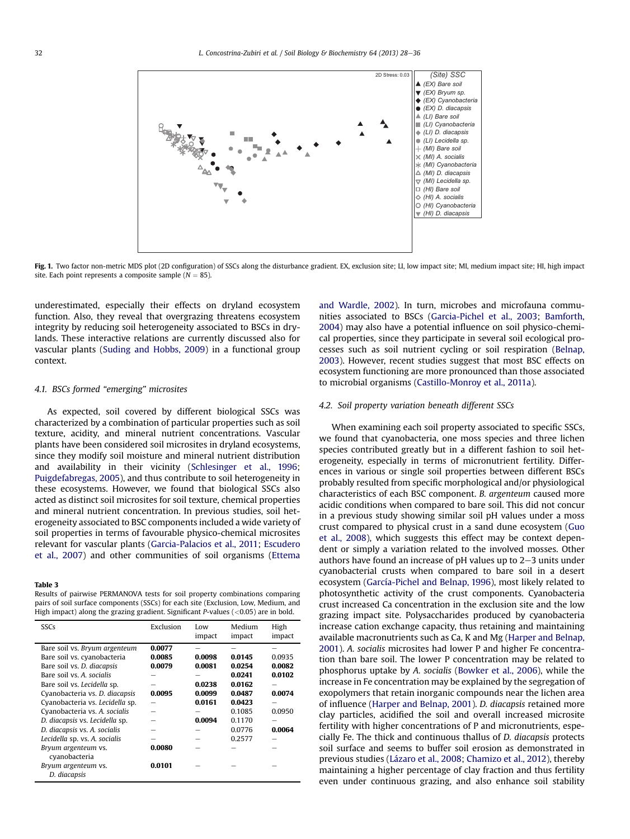<span id="page-4-0"></span>

Fig. 1. Two factor non-metric MDS plot (2D configuration) of SSCs along the disturbance gradient. EX, exclusion site; LI, low impact site; MI, medium impact site; HI, high impact site. Each point represents a composite sample ( $N = 85$ ).

underestimated, especially their effects on dryland ecosystem function. Also, they reveal that overgrazing threatens ecosystem integrity by reducing soil heterogeneity associated to BSCs in drylands. These interactive relations are currently discussed also for vascular plants [\(Suding and Hobbs, 2009\)](#page-8-0) in a functional group context.

## 4.1. BSCs formed "emerging" microsites

As expected, soil covered by different biological SSCs was characterized by a combination of particular properties such as soil texture, acidity, and mineral nutrient concentrations. Vascular plants have been considered soil microsites in dryland ecosystems, since they modify soil moisture and mineral nutrient distribution and availability in their vicinity ([Schlesinger et al., 1996](#page-8-0); [Puigdefabregas, 2005](#page-8-0)), and thus contribute to soil heterogeneity in these ecosystems. However, we found that biological SSCs also acted as distinct soil microsites for soil texture, chemical properties and mineral nutrient concentration. In previous studies, soil heterogeneity associated to BSC components included a wide variety of soil properties in terms of favourable physico-chemical microsites relevant for vascular plants ([Garcia-Palacios et al., 2011](#page-8-0); [Escudero](#page-8-0) [et al., 2007](#page-8-0)) and other communities of soil organisms [\(Ettema](#page-8-0)

#### Table 3

Results of pairwise PERMANOVA tests for soil property combinations comparing pairs of soil surface components (SSCs) for each site (Exclusion, Low, Medium, and High impact) along the grazing gradient. Significant  $P$ -values (<0.05) are in bold.

| SSCs                            | Exclusion | Low<br>impact | Medium<br>impact | High<br>impact |
|---------------------------------|-----------|---------------|------------------|----------------|
| Bare soil vs. Bryum argenteum   | 0.0077    |               |                  |                |
| Bare soil vs. cyanobacteria     | 0.0085    | 0.0098        | 0.0145           | 0.0935         |
| Bare soil vs. D. diacapsis      | 0.0079    | 0.0081        | 0.0254           | 0.0082         |
| Bare soil vs. A. socialis       |           |               | 0.0241           | 0.0102         |
| Bare soil vs. Lecidella sp.     |           | 0.0238        | 0.0162           |                |
| Cyanobacteria vs. D. diacapsis  | 0.0095    | 0.0099        | 0.0487           | 0.0074         |
| Cyanobacteria vs. Lecidella sp. |           | 0.0161        | 0.0423           |                |
| Cyanobacteria vs. A. socialis   |           |               | 0.1085           | 0.0950         |
| D. diacapsis vs. Lecidella sp.  |           | 0.0094        | 0.1170           |                |
| D. diacapsis vs. A. socialis    |           |               | 0.0776           | 0.0064         |
| Lecidella sp. vs. A. socialis   |           |               | 0.2577           |                |
| Bryum argenteum vs.             | 0.0080    |               |                  |                |
| cyanobacteria                   |           |               |                  |                |
| Bryum argenteum vs.             | 0.0101    |               |                  |                |
| D. diacapsis                    |           |               |                  |                |

[and Wardle, 2002](#page-8-0)). In turn, microbes and microfauna communities associated to BSCs ([Garcia-Pichel et al., 2003](#page-8-0); [Bamforth,](#page-7-0) [2004](#page-7-0)) may also have a potential influence on soil physico-chemical properties, since they participate in several soil ecological processes such as soil nutrient cycling or soil respiration [\(Belnap,](#page-7-0) [2003](#page-7-0)). However, recent studies suggest that most BSC effects on ecosystem functioning are more pronounced than those associated to microbial organisms [\(Castillo-Monroy et al., 2011a](#page-8-0)).

## 4.2. Soil property variation beneath different SSCs

When examining each soil property associated to specific SSCs, we found that cyanobacteria, one moss species and three lichen species contributed greatly but in a different fashion to soil heterogeneity, especially in terms of micronutrient fertility. Differences in various or single soil properties between different BSCs probably resulted from specific morphological and/or physiological characteristics of each BSC component. B. argenteum caused more acidic conditions when compared to bare soil. This did not concur in a previous study showing similar soil pH values under a moss crust compared to physical crust in a sand dune ecosystem ([Guo](#page-8-0) [et al., 2008\)](#page-8-0), which suggests this effect may be context dependent or simply a variation related to the involved mosses. Other authors have found an increase of pH values up to  $2-3$  units under cyanobacterial crusts when compared to bare soil in a desert ecosystem ([García-Pichel and Belnap, 1996](#page-8-0)), most likely related to photosynthetic activity of the crust components. Cyanobacteria crust increased Ca concentration in the exclusion site and the low grazing impact site. Polysaccharides produced by cyanobacteria increase cation exchange capacity, thus retaining and maintaining available macronutrients such as Ca, K and Mg ([Harper and Belnap,](#page-8-0) [2001\)](#page-8-0). A. socialis microsites had lower P and higher Fe concentration than bare soil. The lower P concentration may be related to phosphorus uptake by A. socialis [\(Bowker et al., 2006](#page-8-0)), while the increase in Fe concentration may be explained by the segregation of exopolymers that retain inorganic compounds near the lichen area of influence ([Harper and Belnap, 2001](#page-8-0)). D. diacapsis retained more clay particles, acidified the soil and overall increased microsite fertility with higher concentrations of P and micronutrients, especially Fe. The thick and continuous thallus of D. diacapsis protects soil surface and seems to buffer soil erosion as demonstrated in previous studies ([Lázaro et al., 2008](#page-8-0); [Chamizo et al., 2012\)](#page-8-0), thereby maintaining a higher percentage of clay fraction and thus fertility even under continuous grazing, and also enhance soil stability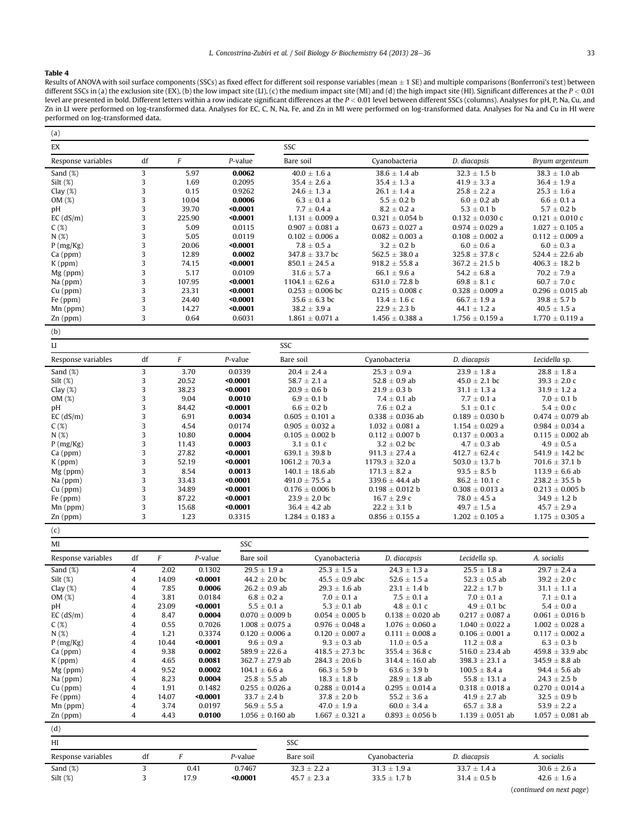## <span id="page-5-0"></span>Table 4

Results of ANOVA with soil surface components (SSCs) as fixed effect for different soil response variables (mean  $\pm$  1 SE) and multiple comparisons (Bonferroni's test) between<br>different SSCs in (a) the exclusion site (EX) level are presented in bold. Different letters within a row indicate significant differences at the  $P < 0.01$  level between different SSCs (columns). Analyses for pH, P, Na, Cu, and Zn in LI were performed on log-transformed data. Analyses for EC, C, N, Na, Fe, and Zn in MI were performed on log-transformed data. Analyses for Na and Cu in HI were performed on log-transformed data.

| (a)                       |                         |                  |                   |                    |                                          |                                            |                                          |                                          |                                          |
|---------------------------|-------------------------|------------------|-------------------|--------------------|------------------------------------------|--------------------------------------------|------------------------------------------|------------------------------------------|------------------------------------------|
| EX                        |                         |                  |                   |                    | SSC                                      |                                            |                                          |                                          |                                          |
| Response variables        | df                      | $\cal F$         |                   | P-value            | Bare soil                                |                                            | Cyanobacteria                            | D. diacapsis                             | Bryum argenteum                          |
| Sand $(\%)$<br>$Silt$ (%) | 3<br>3                  |                  | 5.97<br>1.69      | 0.0062<br>0.2095   |                                          | $40.0 \pm 1.6$ a<br>$35.4 \pm 2.6$ a       | $38.6 \pm 1.4$ ab<br>$35.4 \pm 1.3 a$    | $32.3 \pm 1.5$ b<br>$41.9 \pm 3.3 a$     | $38.3 \pm 1.0$ ab<br>36.4 $\pm$ 1.9 a    |
| Clay $(\%)$               | 3                       |                  | 0.15              | 0.9262             |                                          | $24.6 \pm 1.3$ a                           | $26.1 \pm 1.4$ a                         | $25.8 \pm 2.2 a$                         | $25.3 \pm 1.6$ a                         |
| OM(%)                     | 3                       |                  | 10.04             | 0.0006             |                                          | $6.3 \pm 0.1$ a                            | $5.5 \pm 0.2$ b                          | $6.0 \pm 0.2$ ab                         | $6.6 \pm 0.1 a$                          |
| рH                        | 3                       |                  | 39.70             | $0.0001$           |                                          | $7.7 \pm 0.4$ a                            | $8.2 \pm 0.2$ a                          | $5.3 \pm 0.1$ b                          | $5.7 \pm 0.2$ b                          |
| $EC$ (dS/m)               | 3                       |                  | 225.90            | $0.0001$           |                                          | $1.131 \pm 0.009$ a                        | $0.321 \pm 0.054$ b                      | $0.132 \pm 0.030$ c                      | $0.121 \pm 0.010$ c                      |
| C(%)                      | 3                       |                  | 5.09              | 0.0115             |                                          | $0.907 \pm 0.081$ a                        | $0.673 \pm 0.027$ a                      | $0.974 \pm 0.029$ a                      | $1.027 \pm 0.105$ a                      |
| N(%)                      | 3<br>3                  |                  | 5.05              | 0.0119             |                                          | $0.102 \pm 0.006$ a                        | $0.082 \pm 0.003$ a                      | $0.108 \pm 0.002$ a                      | $0.112 \pm 0.009$ a                      |
| P(mg/Kg)<br>Ca (ppm)      | 3                       |                  | 20.06<br>12.89    | $0.0001$<br>0.0002 |                                          | $7.8 \pm 0.5$ a<br>$347.8 \pm 33.7$ bc     | $3.2 \pm 0.2$ b<br>$562.5 \pm 38.0$ a    | $6.0 \pm 0.6 a$<br>325.8 $\pm$ 37.8 c    | $6.0 \pm 0.3$ a<br>524.4 $\pm$ 22.6 ab   |
| $K$ (ppm)                 | 3                       |                  | 74.15             | $0.0001$           |                                          | $850.1 \pm 24.5$ a                         | $918.2 \pm 55.8$ a                       | $367.2 \pm 21.5$ b                       | $406.3 \pm 18.2$ b                       |
| $Mg$ (ppm)                | 3                       |                  | 5.17              | 0.0109             |                                          | $31.6 \pm 5.7$ a                           | 66.1 $\pm$ 9.6 a                         | $54.2 \pm 6.8$ a                         | $70.2 \pm 7.9$ a                         |
| Na (ppm)                  | 3                       |                  | 107.95            | $0.0001$           |                                          | $1104.1 \pm 62.6$ a                        | 631.0 $\pm$ 72.8 b                       | $69.8 \pm 8.1$ c                         | $60.7 \pm 7.0$ c                         |
| $Cu$ (ppm)                | 3                       |                  | 23.31             | <0.0001            |                                          | $0.253 \pm 0.006$ bc                       | $0.215 \pm 0.008$ c                      | $0.328 \pm 0.009$ a                      | $0.296 \pm 0.015$ ab                     |
| Fe (ppm)                  | 3                       |                  | 24.40             | $0.0001$           |                                          | $35.6 \pm 6.3$ bc                          | $13.4 \pm 1.6$ c                         | $66.7 \pm 1.9$ a                         | $39.8 \pm 5.7$ b                         |
| $Mn$ (ppm)                | 3<br>3                  |                  | 14.27<br>0.64     | $0.0001$<br>0.6031 |                                          | $38.2 \pm 3.9$ a                           | $22.9 \pm 2.3$ b                         | $44.1 \pm 1.2$ a                         | $40.5 \pm 1.5$ a                         |
| $Zn$ (ppm)                |                         |                  |                   |                    |                                          | $1.861 \pm 0.071$ a                        | $1.456 \pm 0.388$ a                      | $1.756 \pm 0.159$ a                      | $1.770 \pm 0.119$ a                      |
| (b)                       |                         |                  |                   |                    |                                          |                                            |                                          |                                          |                                          |
| $_{\rm LI}$               |                         |                  |                   |                    | SSC                                      |                                            |                                          |                                          |                                          |
| Response variables        | df                      | $\cal F$         |                   | P-value            | Bare soil                                |                                            | Cyanobacteria                            | D. diacapsis                             | Lecidella sp.                            |
| Sand $(\%)$               | 3                       |                  | 3.70              | 0.0339             |                                          | $20.4 \pm 2.4$ a                           | $25.3 \pm 0.9$ a                         | $23.9 \pm 1.8$ a                         | $28.8\,\pm\,1.8$ a                       |
| $Silt$ (%)                | 3                       |                  | 20.52             | $0.0001$           |                                          | $58.7 \pm 2.1$ a                           | $52.8 \pm 0.9$ ab                        | $45.0 \pm 2.1$ bc                        | $39.3 \pm 2.0$ c                         |
| Clay $(\%)$<br>OM(%)      | 3<br>3                  |                  | 38.23<br>9.04     | $0.0001$<br>0.0010 |                                          | $20.9 \pm 0.6$ b<br>$6.9 \pm 0.1$ b        | $21.9 \pm 0.3$ b<br>$7.4 \pm 0.1$ ab     | $31.1 \pm 1.3$ a<br>$7.7 \pm 0.1$ a      | $31.9 \pm 1.2$ a<br>$7.0 \pm 0.1$ b      |
| рH                        | 3                       |                  | 84.42             | <0.0001            |                                          | $6.6 \pm 0.2$ b                            | $7.6 \pm 0.2$ a                          | $5.1 \pm 0.1$ c                          | $5.4 \pm 0.0$ c                          |
| $EC$ (dS/m)               | 3                       |                  | 6.91              | 0.0034             |                                          | $0.605 \pm 0.101$ a                        | $0.338 \pm 0.036$ ab                     | $0.189 \pm 0.030$ b                      | $0.474 \pm 0.079$ ab                     |
| C(%)                      | 3                       |                  | 4.54              | 0.0174             |                                          | $0.905 \pm 0.032$ a                        | $1.032 \pm 0.081$ a                      | $1.154 \pm 0.029$ a                      | $0.984\pm0.034$ a                        |
| N(%)                      | 3                       |                  | 10.80             | 0.0004             |                                          | $0.105 \pm 0.002$ b                        | $0.112 \pm 0.007$ b                      | $0.137 \pm 0.003$ a                      | $0.115 \pm 0.002$ ab                     |
| P(mg/Kg)                  | 3                       |                  | 11.43             | 0.0003             |                                          | $3.1 \pm 0.1$ c                            | $3.2 \pm 0.2$ bc                         | $4.7 \pm 0.3$ ab                         | $4.9 \pm 0.5$ a                          |
| Ca (ppm)                  | 3                       |                  | 27.82             | $0.0001$           |                                          | 639.1 $\pm$ 39.8 b                         | $911.3 \pm 27.4$ a                       | 412.7 $\pm$ 62.4 c                       | $541.9 \pm 14.2$ bc                      |
| K(ppm)                    | 3<br>3                  |                  | 52.19<br>8.54     | $0.0001$<br>0.0013 |                                          | $1061.2 \pm 70.3$ a<br>$140.1 \pm 18.6$ ab | $1179.3 \pm 32.0$ a<br>$171.3 \pm 8.2$ a | 503.0 $\pm$ 13.7 b<br>$93.5 \pm 8.5$ b   | $701.6 \pm 37.1 b$<br>$113.9 \pm 6.6$ ab |
| $Mg$ (ppm)<br>Na (ppm)    | 3                       |                  | 33.43             | $0.0001$           |                                          | 491.0 $\pm$ 75.5 a                         | $339.6 \pm 44.4$ ab                      | $86.2 \pm 10.1$ c                        | $238.2 \pm 35.5$ b                       |
| $Cu$ (ppm)                | 3                       |                  | 34.89             | $0.0001$           |                                          | $0.176 \pm 0.006$ b                        | $0.198 \pm 0.012$ b                      | $0.308 \pm 0.013$ a                      | $0.213 \pm 0.005$ b                      |
| Fe (ppm)                  | 3                       |                  | 87.22             | $0.0001$           |                                          | $23.9 \pm 2.0$ bc                          | $16.7 \pm 2.9 c$                         | $78.0 \pm 4.5$ a                         | $34.9 \pm 1.2$ b                         |
| $Mn$ (ppm)                | 3                       |                  | 15.68             | $0.0001$           |                                          | $36.4 \pm 4.2$ ab                          | $22.2 \pm 3.1$ b                         | $49.7 \pm 1.5$ a                         | $45.7 \pm 2.9$ a                         |
| $Zn$ (ppm)                | 3                       |                  | 1.23              | 0.3315             |                                          | $1.284 \pm 0.183$ a                        | $0.856 \pm 0.155$ a                      | $1.202 \pm 0.105$ a                      | $1.175 \pm 0.305$ a                      |
| (c)                       |                         |                  |                   |                    |                                          |                                            |                                          |                                          |                                          |
| MI                        |                         |                  |                   | SSC                |                                          |                                            |                                          |                                          |                                          |
| Response variables        | df                      | $\boldsymbol{F}$ | P-value           | Bare soil          |                                          | Cyanobacteria                              | D. diacapsis                             | Lecidella sp.                            | A. socialis                              |
| Sand $(\%)$               | $\overline{\mathbf{4}}$ | 2.02             | 0.1302            | $29.5 \pm 1.9 a$   |                                          | $25.3 \pm 1.5$ a                           | $24.3 \pm 1.3$ a                         | $25.5 \pm 1.8$ a                         | $29.7 \pm 2.4$ a                         |
| $Silt$ $(\%)$             | 4                       | 14.09            | $0.0001$          |                    | $44.2 \pm 2.0$ bc                        | $45.5 \pm 0.9$ abc                         | $52.6 \pm 1.5$ a                         | $52.3 \pm 0.5$ ab                        | $39.2 \pm 2.0 c$                         |
| Clay $(\%)$               | 4                       | 7.85             | 0.0006            |                    | $26.2 \pm 0.9$ ab                        | $29.3 \pm 1.6$ ab                          | $23.1 \pm 1.4$ b                         | $22.2 \pm 1.7$ b                         | $31.1 \pm 1.1 a$                         |
| OM(%)                     | 4                       | 3.81             | 0.0184            |                    | $6.8 \pm 0.2 a$                          | $7.0 \pm 0.1 a$                            | $7.5 \pm 0.1$ a                          | $7.0 \pm 0.1 a$                          | $7.1 \pm 0.1$ a                          |
| рH<br>$EC$ (dS/m)         | 4<br>4                  | 23.09<br>8.47    | <0.0001<br>0.0004 |                    | $5.5 \pm 0.1$ a<br>$0.070 \pm 0.009$ b   | $5.3 \pm 0.1$ ab<br>$0.054 \pm 0.005$ b    | $4.8 \pm 0.1$ c<br>$0.138 \pm 0.020$ ab  | $4.9 \pm 0.1$ bc<br>$0.217 \pm 0.087$ a  | $5.4\pm0.0$ a<br>$0.061 \pm 0.016$ b     |
| C(%)                      | 4                       | 0.55             | 0.7026            |                    | $1.008 \pm 0.075$ a                      | $0.976 \pm 0.048$ a                        | $1.076\pm0.060$ a                        | $1.040 \pm 0.022$ a                      | $1.002 \pm 0.028$ a                      |
| N(%)                      | 4                       | 1.21             | 0.3374            |                    | $0.120 \pm 0.006$ a                      | $0.120 \pm 0.007$ a                        | $0.111 \pm 0.008$ a                      | $0.106 \pm 0.001$ a                      | $0.117 \pm 0.002$ a                      |
| P(mg/Kg)                  | 4                       | 10.44            | $0.0001$          |                    | $9.6 \pm 0.9 a$                          | $9.3 \pm 0.3$ ab                           | $11.0 \pm 0.5$ a                         | $11.2 \pm 0.8$ a                         | $6.3 \pm 0.3$ b                          |
| Ca (ppm)                  | 4                       | 9.38             | 0.0002            | $589.9 \pm 22.6$ a |                                          | $418.5 \pm 27.3$ bc                        | $355.4 \pm 36.8$ c                       | $516.0 \pm 23.4$ ab                      | $459.8 \pm 33.9$ abc                     |
| K(ppm)                    | 4                       | 4.65             | 0.0081            |                    | $362.7 \pm 27.9$ ab                      | $284.3 \pm 20.6$ b                         | $314.4 \pm 16.0$ ab                      | $398.3 \pm 23.1$ a                       | $345.9 \pm 8.8$ ab                       |
| $Mg$ (ppm)                | 4                       | 9.52             | 0.0002            | $104.1 \pm 6.6$ a  |                                          | $66.3 \pm 5.9 b$                           | $63.6 \pm 3.9 b$                         | $100.5 \pm 8.4$ a                        | $94.4 \pm 5.6$ ab                        |
| Na (ppm)                  | 4<br>4                  | 8.23<br>1.91     | 0.0004<br>0.1482  |                    | $25.8 \pm 5.5$ ab<br>$0.255 \pm 0.026$ a | $18.3 \pm 1.8$ b<br>$0.288 \pm 0.014$ a    | $28.9 \pm 1.8$ ab<br>$0.295 \pm 0.014$ a | $55.8 \pm 13.1$ a<br>$0.318 \pm 0.018$ a | $24.3 \pm 2.5$ b<br>$0.270 \pm 0.014$ a  |
| Cu (ppm)<br>Fe (ppm)      | 4                       | 14.07            | $0.0001$          | $33.7 \pm 2.4 b$   |                                          | $37.8 \pm 2.0$ b                           | $55.2 \pm 3.6 a$                         | $41.9 \pm 2.7$ ab                        | $32.5 \pm 0.9$ b                         |
| $Mn$ (ppm)                | 4                       | 3.74             | 0.0197            | $56.9 \pm 5.5 a$   |                                          | $47.0 \pm 1.9$ a                           | $60.0 \pm 3.4 a$                         | $65.7 \pm 3.8$ a                         | $53.9 \pm 2.2 a$                         |
| $Zn$ (ppm)                | 4                       | 4.43             | 0.0100            |                    | $1.056 \pm 0.160$ ab                     | $1.667 \pm 0.321$ a                        | $0.893 \pm 0.056$ b                      | $1.139 \pm 0.051$ ab                     | $1.057 \pm 0.081$ ab                     |
| (d)                       |                         |                  |                   |                    |                                          |                                            |                                          |                                          |                                          |
| HI                        |                         |                  |                   |                    | SSC                                      |                                            |                                          |                                          |                                          |
| Response variables        | df                      | $\cal F$         |                   | P-value            | Bare soil                                |                                            | Cyanobacteria                            | D. diacapsis                             | A. socialis                              |
| Sand $(\%)$               | 3                       |                  | 0.41              | 0.7467             |                                          | $32.3 \pm 2.2 a$                           | $31.3 \pm 1.9$ a                         | $33.7 \pm 1.4$ a                         | $30.6 \pm 2.6$ a                         |
| $Silt$ (%)                | 3                       |                  | 17.9              | <0.0001            |                                          | $45.7 \pm 2.3$ a                           | $33.5 \pm 1.7$ b                         | $31.4 \pm 0.5$ b                         | $42.6 \pm 1.6$ a                         |
|                           |                         |                  |                   |                    |                                          |                                            |                                          |                                          | (continued on next page)                 |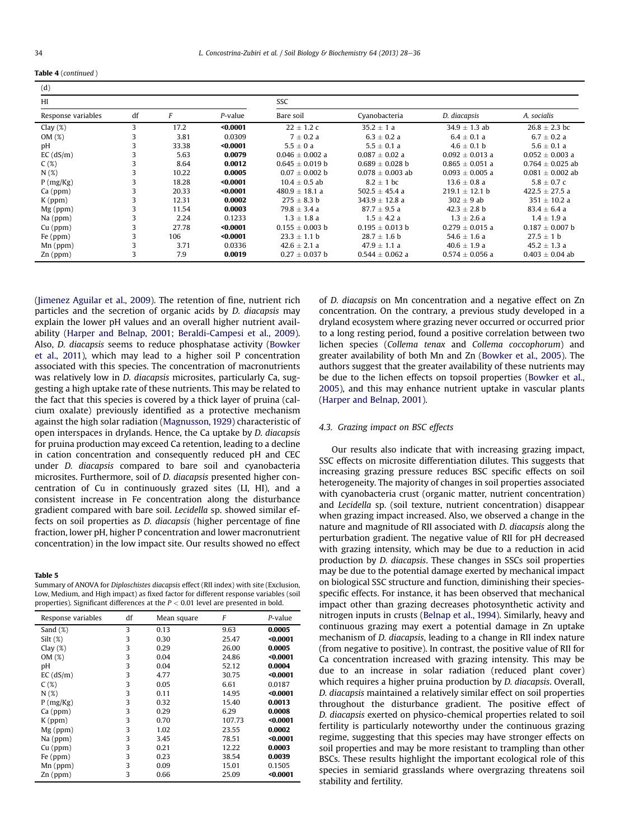$\sim$ 

<span id="page-6-0"></span>

|  | Table 4 (continued) |  |
|--|---------------------|--|
|--|---------------------|--|

| (a)                |    |       |          |                     |                      |                     |                      |  |
|--------------------|----|-------|----------|---------------------|----------------------|---------------------|----------------------|--|
| HI                 |    |       |          | SSC                 |                      |                     |                      |  |
| Response variables | df | F     | P-value  | Bare soil           | Cyanobacteria        | D. diacapsis        | A. socialis          |  |
| Clay $(\%)$        | 3  | 17.2  | $0.0001$ | $22 + 1.2c$         | $35.2 + 1 a$         | $34.9 \pm 1.3$ ab   | $26.8 \pm 2.3$ bc    |  |
| OM(%)              |    | 3.81  | 0.0309   | $7 \pm 0.2$ a       | $6.3 \pm 0.2$ a      | $6.4 \pm 0.1 a$     | $6.7 \pm 0.2$ a      |  |
| рH                 |    | 33.38 | $0.0001$ | $5.5 \pm 0 a$       | $5.5 \pm 0.1$ a      | $4.6 \pm 0.1$ b     | $5.6 \pm 0.1 a$      |  |
| $EC$ (dS/m)        |    | 5.63  | 0.0079   | $0.046 \pm 0.002$ a | $0.087 \pm 0.02$ a   | $0.092 \pm 0.013$ a | $0.052 \pm 0.003$ a  |  |
| C(%)               |    | 8.64  | 0.0012   | $0.645 \pm 0.019$ b | $0.689 + 0.028$ b    | $0.865 + 0.051$ a   | $0.764 \pm 0.025$ ab |  |
| N(%)               |    | 10.22 | 0.0005   | $0.07 \pm 0.002$ b  | $0.078 \pm 0.003$ ab | $0.093 \pm 0.005$ a | $0.081 \pm 0.002$ ab |  |
| P(mg/Kg)           |    | 18.28 | $0.0001$ | $10.4 + 0.5$ ab     | $8.2 + 1$ bc         | $13.6 \pm 0.8$ a    | $5.8 \pm 0.7$ c      |  |
| Ca (ppm)           |    | 20.33 | $0.0001$ | $480.9 + 18.1 a$    | $502.5 + 45.4$ a     | $219.1 + 12.1 h$    | $422.5 + 27.5$ a     |  |
| K(ppm)             |    | 12.31 | 0.0002   | $275 + 8.3 h$       | $343.9 + 12.8$ a     | $302 + 9$ ab        | $351 \pm 10.2$ a     |  |
| $Mg$ (ppm)         |    | 11.54 | 0.0003   | $79.8 \pm 3.4$ a    | $87.7 + 9.5$ a       | $42.3 + 2.8 h$      | $83.4 \pm 6.4 a$     |  |
| $Na$ (ppm)         |    | 2.24  | 0.1233   | $1.3 \pm 1.8$ a     | $1.5 \pm 4.2$ a      | $1.3 \pm 2.6 a$     | $1.4 \pm 1.9 a$      |  |
| $Cu$ (ppm)         | 3  | 27.78 | $0.0001$ | $0.155 + 0.003$ b   | $0.195 + 0.013$ b    | $0.279 + 0.015$ a   | $0.187 \pm 0.007$ b  |  |
| Fe (ppm)           | 3  | 106   | $0.0001$ | $23.3 \pm 1.1$ b    | $28.7 \pm 1.6$ b     | $54.6 \pm 1.6$ a    | $27.5 \pm 1$ b       |  |
| $Mn$ (ppm)         | 3  | 3.71  | 0.0336   | $42.6 \pm 2.1$ a    | $47.9 \pm 1.1$ a     | $40.6 \pm 1.9 a$    | $45.2 \pm 1.3$ a     |  |
| $Zn$ (ppm)         | 3  | 7.9   | 0.0019   | $0.27 \pm 0.037$ b  | $0.544 \pm 0.062$ a  | $0.574 \pm 0.056$ a | $0.403 \pm 0.04$ ab  |  |

([Jimenez Aguilar et al., 2009](#page-8-0)). The retention of fine, nutrient rich particles and the secretion of organic acids by D. diacapsis may explain the lower pH values and an overall higher nutrient availability [\(Harper and Belnap, 2001;](#page-8-0) [Beraldi-Campesi et al., 2009\)](#page-8-0). Also, D. diacapsis seems to reduce phosphatase activity [\(Bowker](#page-8-0) [et al., 2011](#page-8-0)), which may lead to a higher soil P concentration associated with this species. The concentration of macronutrients was relatively low in D. diacapsis microsites, particularly Ca, suggesting a high uptake rate of these nutrients. This may be related to the fact that this species is covered by a thick layer of pruina (calcium oxalate) previously identified as a protective mechanism against the high solar radiation [\(Magnusson, 1929](#page-8-0)) characteristic of open interspaces in drylands. Hence, the Ca uptake by D. diacapsis for pruina production may exceed Ca retention, leading to a decline in cation concentration and consequently reduced pH and CEC under D. diacapsis compared to bare soil and cyanobacteria microsites. Furthermore, soil of D. diacapsis presented higher concentration of Cu in continuously grazed sites (LI, HI), and a consistent increase in Fe concentration along the disturbance gradient compared with bare soil. Lecidella sp. showed similar effects on soil properties as D. diacapsis (higher percentage of fine fraction, lower pH, higher P concentration and lower macronutrient concentration) in the low impact site. Our results showed no effect

#### Table 5

Summary of ANOVA for Diploschistes diacapsis effect (RII index) with site (Exclusion, Low, Medium, and High impact) as fixed factor for different response variables (soil properties). Significant differences at the  $P < 0.01$  level are presented in bold.

| Response variables | df | Mean square | F      | P-value  |
|--------------------|----|-------------|--------|----------|
| Sand $(\%)$        | 3  | 0.13        | 9.63   | 0.0005   |
| Silt(X)            | 3  | 0.30        | 25.47  | $0.0001$ |
| Clay $(\%)$        | 3  | 0.29        | 26.00  | 0.0005   |
| OM(%)              | 3  | 0.04        | 24.86  | $0.0001$ |
| рH                 | 3  | 0.04        | 52.12  | 0.0004   |
| $EC$ (dS/m)        | 3  | 4.77        | 30.75  | $0.0001$ |
| C(%)               | 3  | 0.05        | 6.61   | 0.0187   |
| N(%)               | 3  | 0.11        | 14.95  | $0.0001$ |
| P(mg/Kg)           | 3  | 0.32        | 15.40  | 0.0013   |
| Ca (ppm)           | 3  | 0.29        | 6.29   | 0.0008   |
| K(ppm)             | 3  | 0.70        | 107.73 | $0.0001$ |
| $Mg$ (ppm)         | 3  | 1.02        | 23.55  | 0.0002   |
| Na (ppm)           | 3  | 3.45        | 78.51  | $0.0001$ |
| Cu (ppm)           | 3  | 0.21        | 12.22  | 0.0003   |
| Fe (ppm)           | 3  | 0.23        | 38.54  | 0.0039   |
| $Mn$ (ppm)         | 3  | 0.09        | 15.01  | 0.1505   |
| Zn (ppm)           | 3  | 0.66        | 25.09  | $0.0001$ |

of D. diacapsis on Mn concentration and a negative effect on Zn concentration. On the contrary, a previous study developed in a dryland ecosystem where grazing never occurred or occurred prior to a long resting period, found a positive correlation between two lichen species (Collema tenax and Collema coccophorum) and greater availability of both Mn and Zn ([Bowker et al., 2005\)](#page-8-0). The authors suggest that the greater availability of these nutrients may be due to the lichen effects on topsoil properties ([Bowker et al.,](#page-8-0) [2005](#page-8-0)), and this may enhance nutrient uptake in vascular plants ([Harper and Belnap, 2001](#page-8-0)).

## 4.3. Grazing impact on BSC effects

Our results also indicate that with increasing grazing impact, SSC effects on microsite differentiation dilutes. This suggests that increasing grazing pressure reduces BSC specific effects on soil heterogeneity. The majority of changes in soil properties associated with cyanobacteria crust (organic matter, nutrient concentration) and Lecidella sp. (soil texture, nutrient concentration) disappear when grazing impact increased. Also, we observed a change in the nature and magnitude of RII associated with D. diacapsis along the perturbation gradient. The negative value of RII for pH decreased with grazing intensity, which may be due to a reduction in acid production by D. diacapsis. These changes in SSCs soil properties may be due to the potential damage exerted by mechanical impact on biological SSC structure and function, diminishing their speciesspecific effects. For instance, it has been observed that mechanical impact other than grazing decreases photosynthetic activity and nitrogen inputs in crusts [\(Belnap et al., 1994](#page-8-0)). Similarly, heavy and continuous grazing may exert a potential damage in Zn uptake mechanism of D. diacapsis, leading to a change in RII index nature (from negative to positive). In contrast, the positive value of RII for Ca concentration increased with grazing intensity. This may be due to an increase in solar radiation (reduced plant cover) which requires a higher pruina production by *D. diacapsis*. Overall, D. diacapsis maintained a relatively similar effect on soil properties throughout the disturbance gradient. The positive effect of D. diacapsis exerted on physico-chemical properties related to soil fertility is particularly noteworthy under the continuous grazing regime, suggesting that this species may have stronger effects on soil properties and may be more resistant to trampling than other BSCs. These results highlight the important ecological role of this species in semiarid grasslands where overgrazing threatens soil stability and fertility.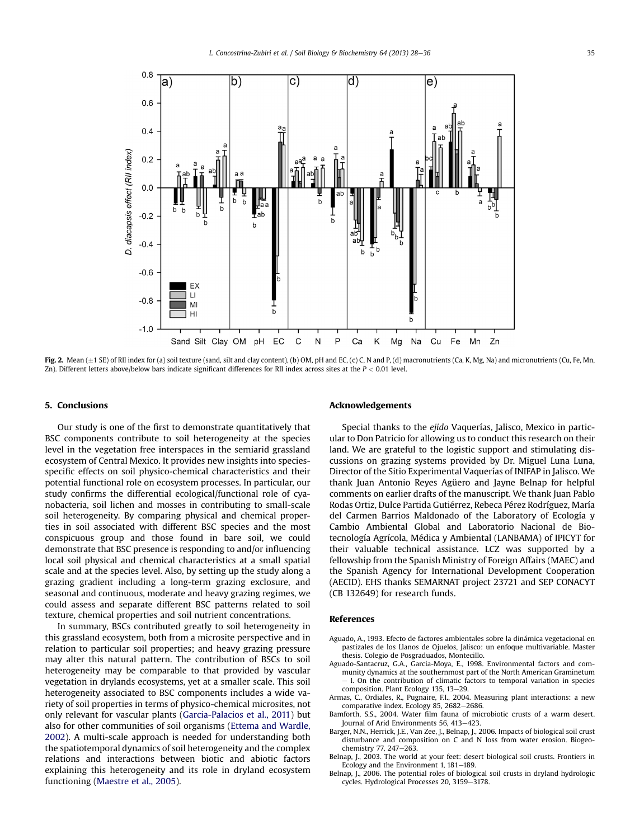<span id="page-7-0"></span>

Fig. 2. Mean ( $\pm 1$  SE) of RII index for (a) soil texture (sand, silt and clay content), (b) OM, pH and EC, (c) C, N and P, (d) macronutrients (Ca, K, Mg, Na) and micronutrients (Cu, Fe, Mn, Zn). Different letters above/below bars indicate significant differences for RII index across sites at the  $P < 0.01$  level.

### 5. Conclusions

Our study is one of the first to demonstrate quantitatively that BSC components contribute to soil heterogeneity at the species level in the vegetation free interspaces in the semiarid grassland ecosystem of Central Mexico. It provides new insights into speciesspecific effects on soil physico-chemical characteristics and their potential functional role on ecosystem processes. In particular, our study confirms the differential ecological/functional role of cyanobacteria, soil lichen and mosses in contributing to small-scale soil heterogeneity. By comparing physical and chemical properties in soil associated with different BSC species and the most conspicuous group and those found in bare soil, we could demonstrate that BSC presence is responding to and/or influencing local soil physical and chemical characteristics at a small spatial scale and at the species level. Also, by setting up the study along a grazing gradient including a long-term grazing exclosure, and seasonal and continuous, moderate and heavy grazing regimes, we could assess and separate different BSC patterns related to soil texture, chemical properties and soil nutrient concentrations.

In summary, BSCs contributed greatly to soil heterogeneity in this grassland ecosystem, both from a microsite perspective and in relation to particular soil properties; and heavy grazing pressure may alter this natural pattern. The contribution of BSCs to soil heterogeneity may be comparable to that provided by vascular vegetation in drylands ecosystems, yet at a smaller scale. This soil heterogeneity associated to BSC components includes a wide variety of soil properties in terms of physico-chemical microsites, not only relevant for vascular plants ([Garcia-Palacios et al., 2011\)](#page-8-0) but also for other communities of soil organisms [\(Ettema and Wardle,](#page-8-0) [2002\)](#page-8-0). A multi-scale approach is needed for understanding both the spatiotemporal dynamics of soil heterogeneity and the complex relations and interactions between biotic and abiotic factors explaining this heterogeneity and its role in dryland ecosystem functioning ([Maestre et al., 2005](#page-8-0)).

## Acknowledgements

Special thanks to the ejido Vaquerías, Jalisco, Mexico in particular to Don Patricio for allowing us to conduct this research on their land. We are grateful to the logistic support and stimulating discussions on grazing systems provided by Dr. Miguel Luna Luna, Director of the Sitio Experimental Vaquerías of INIFAP in Jalisco. We thank Juan Antonio Reyes Agüero and Jayne Belnap for helpful comments on earlier drafts of the manuscript. We thank Juan Pablo Rodas Ortiz, Dulce Partida Gutiérrez, Rebeca Pérez Rodríguez, María del Carmen Barrios Maldonado of the Laboratory of Ecología y Cambio Ambiental Global and Laboratorio Nacional de Biotecnología Agrícola, Médica y Ambiental (LANBAMA) of IPICYT for their valuable technical assistance. LCZ was supported by a fellowship from the Spanish Ministry of Foreign Affairs (MAEC) and the Spanish Agency for International Development Cooperation (AECID). EHS thanks SEMARNAT project 23721 and SEP CONACYT (CB 132649) for research funds.

## References

- Aguado, A., 1993. Efecto de factores ambientales sobre la dinámica vegetacional en pastizales de los Llanos de Ojuelos, Jalisco: un enfoque multivariable. Master thesis. Colegio de Posgraduados, Montecillo.
- Aguado-Santacruz, G.A., Garcia-Moya, E., 1998. Environmental factors and community dynamics at the southernmost part of the North American Graminetum e I. On the contribution of climatic factors to temporal variation in species composition. Plant Ecology 135, 13-29
- Armas, C., Ordiales, R., Pugnaire, F.I., 2004. Measuring plant interactions: a new comparative index. Ecology 85, 2682-2686
- Bamforth, S.S., 2004. Water film fauna of microbiotic crusts of a warm desert. Journal of Arid Environments 56, 413-423.
- Barger, N.N., Herrick, J.E., Van Zee, J., Belnap, J., 2006. Impacts of biological soil crust disturbance and composition on C and N loss from water erosion. Biogeochemistry 77, 247-263.
- Belnap, J., 2003. The world at your feet: desert biological soil crusts. Frontiers in Ecology and the Environment 1,  $181-189$ .
- Belnap, J., 2006. The potential roles of biological soil crusts in dryland hydrologic cycles. Hydrological Processes 20, 3159-3178.